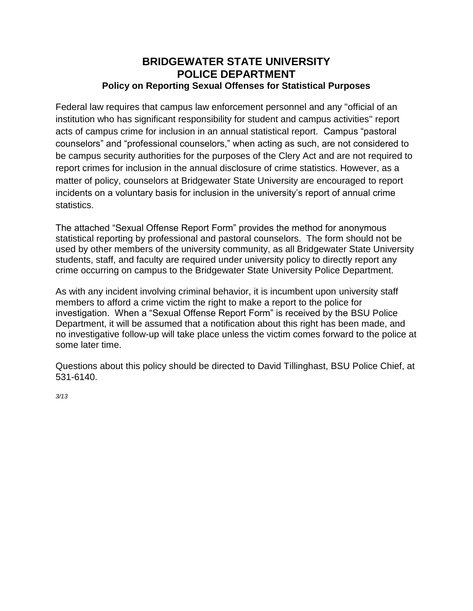## **BRIDGEWATER STATE UNIVERSITY POLICE DEPARTMENT Policy on Reporting Sexual Offenses for Statistical Purposes**

Federal law requires that campus law enforcement personnel and any "official of an institution who has significant responsibility for student and campus activities" report acts of campus crime for inclusion in an annual statistical report. Campus "pastoral counselors" and "professional counselors," when acting as such, are not considered to be campus security authorities for the purposes of the Clery Act and are not required to report crimes for inclusion in the annual disclosure of crime statistics. However, as a matter of policy, counselors at Bridgewater State University are encouraged to report incidents on a voluntary basis for inclusion in the university's report of annual crime statistics.

The attached "Sexual Offense Report Form" provides the method for anonymous statistical reporting by professional and pastoral counselors. The form should not be used by other members of the university community, as all Bridgewater State University students, staff, and faculty are required under university policy to directly report any crime occurring on campus to the Bridgewater State University Police Department.

As with any incident involving criminal behavior, it is incumbent upon university staff members to afford a crime victim the right to make a report to the police for investigation. When a "Sexual Offense Report Form" is received by the BSU Police Department, it will be assumed that a notification about this right has been made, and no investigative follow-up will take place unless the victim comes forward to the police at some later time.

Questions about this policy should be directed to David Tillinghast, BSU Police Chief, at 531-6140.

*3/13*